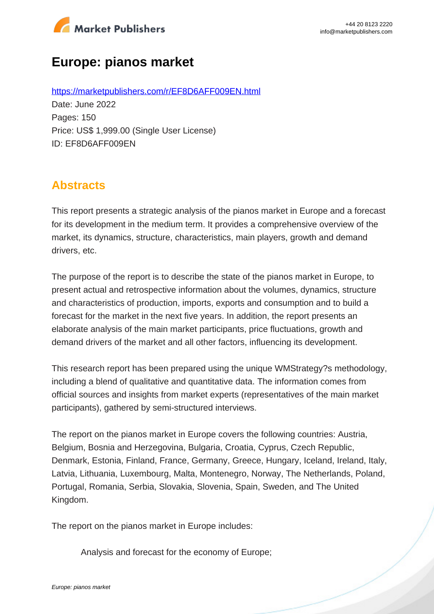

# **Europe: pianos market**

https://marketpublishers.com/r/EF8D6AFF009EN.html Date: June 2022 Pages: 150 Price: US\$ 1,999.00 (Single User License) ID: EF8D6AFF009EN

# **Abstracts**

This report presents a strategic analysis of the pianos market in Europe and a forecast for its development in the medium term. It provides a comprehensive overview of the market, its dynamics, structure, characteristics, main players, growth and demand drivers, etc.

The purpose of the report is to describe the state of the pianos market in Europe, to present actual and retrospective information about the volumes, dynamics, structure and characteristics of production, imports, exports and consumption and to build a forecast for the market in the next five years. In addition, the report presents an elaborate analysis of the main market participants, price fluctuations, growth and demand drivers of the market and all other factors, influencing its development.

This research report has been prepared using the unique WMStrategy?s methodology, including a blend of qualitative and quantitative data. The information comes from official sources and insights from market experts (representatives of the main market participants), gathered by semi-structured interviews.

The report on the pianos market in Europe covers the following countries: Austria, Belgium, Bosnia and Herzegovina, Bulgaria, Croatia, Cyprus, Czech Republic, Denmark, Estonia, Finland, France, Germany, Greece, Hungary, Iceland, Ireland, Italy, Latvia, Lithuania, Luxembourg, Malta, Montenegro, Norway, The Netherlands, Poland, Portugal, Romania, Serbia, Slovakia, Slovenia, Spain, Sweden, and The United Kingdom.

The report on the pianos market in Europe includes:

Analysis and forecast for the economy of Europe;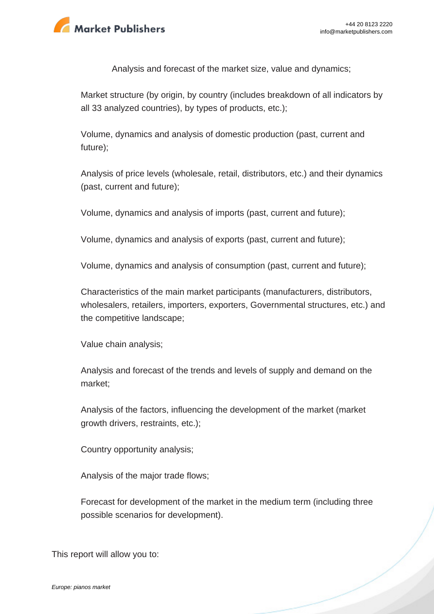

Analysis and forecast of the market size, value and dynamics;

Market structure (by origin, by country (includes breakdown of all indicators by all 33 analyzed countries), by types of products, etc.);

Volume, dynamics and analysis of domestic production (past, current and future);

Analysis of price levels (wholesale, retail, distributors, etc.) and their dynamics (past, current and future);

Volume, dynamics and analysis of imports (past, current and future);

Volume, dynamics and analysis of exports (past, current and future);

Volume, dynamics and analysis of consumption (past, current and future);

Characteristics of the main market participants (manufacturers, distributors, wholesalers, retailers, importers, exporters, Governmental structures, etc.) and the competitive landscape;

Value chain analysis;

Analysis and forecast of the trends and levels of supply and demand on the market;

Analysis of the factors, influencing the development of the market (market growth drivers, restraints, etc.);

Country opportunity analysis;

Analysis of the major trade flows;

Forecast for development of the market in the medium term (including three possible scenarios for development).

This report will allow you to: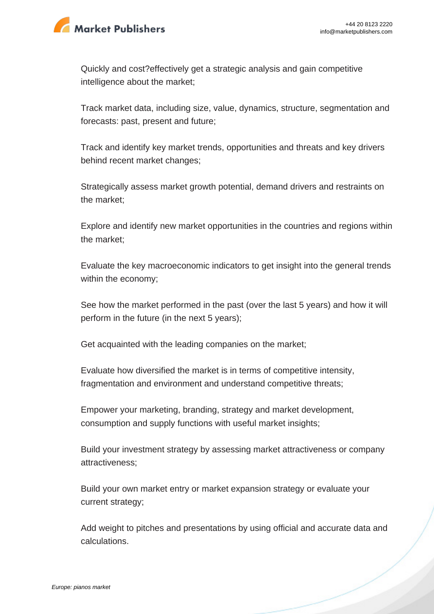

Quickly and cost?effectively get a strategic analysis and gain competitive intelligence about the market;

Track market data, including size, value, dynamics, structure, segmentation and forecasts: past, present and future;

Track and identify key market trends, opportunities and threats and key drivers behind recent market changes;

Strategically assess market growth potential, demand drivers and restraints on the market;

Explore and identify new market opportunities in the countries and regions within the market;

Evaluate the key macroeconomic indicators to get insight into the general trends within the economy;

See how the market performed in the past (over the last 5 years) and how it will perform in the future (in the next 5 years);

Get acquainted with the leading companies on the market;

Evaluate how diversified the market is in terms of competitive intensity, fragmentation and environment and understand competitive threats;

Empower your marketing, branding, strategy and market development, consumption and supply functions with useful market insights;

Build your investment strategy by assessing market attractiveness or company attractiveness;

Build your own market entry or market expansion strategy or evaluate your current strategy;

Add weight to pitches and presentations by using official and accurate data and calculations.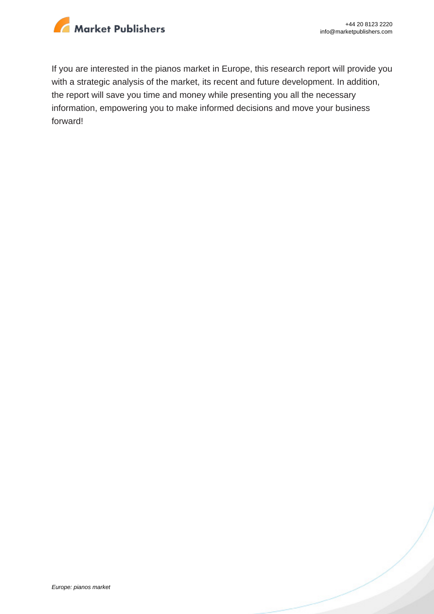

If you are interested in the pianos market in Europe, this research report will provide you with a strategic analysis of the market, its recent and future development. In addition, the report will save you time and money while presenting you all the necessary information, empowering you to make informed decisions and move your business forward!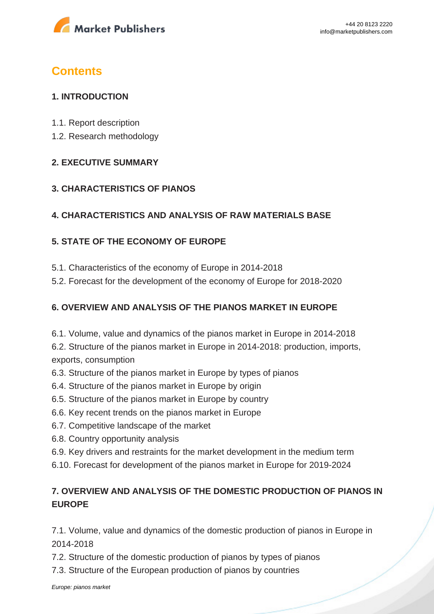

# **Contents**

## **1. INTRODUCTION**

- 1.1. Report description
- 1.2. Research methodology

### **2. EXECUTIVE SUMMARY**

### **3. CHARACTERISTICS OF PIANOS**

## **4. CHARACTERISTICS AND ANALYSIS OF RAW MATERIALS BASE**

## **5. STATE OF THE ECONOMY OF EUROPE**

- 5.1. Characteristics of the economy of Europe in 2014-2018
- 5.2. Forecast for the development of the economy of Europe for 2018-2020

## **6. OVERVIEW AND ANALYSIS OF THE PIANOS MARKET IN EUROPE**

6.1. Volume, value and dynamics of the pianos market in Europe in 2014-2018

6.2. Structure of the pianos market in Europe in 2014-2018: production, imports, exports, consumption

- 6.3. Structure of the pianos market in Europe by types of pianos
- 6.4. Structure of the pianos market in Europe by origin
- 6.5. Structure of the pianos market in Europe by country
- 6.6. Key recent trends on the pianos market in Europe
- 6.7. Competitive landscape of the market
- 6.8. Country opportunity analysis
- 6.9. Key drivers and restraints for the market development in the medium term
- 6.10. Forecast for development of the pianos market in Europe for 2019-2024

# **7. OVERVIEW AND ANALYSIS OF THE DOMESTIC PRODUCTION OF PIANOS IN EUROPE**

7.1. Volume, value and dynamics of the domestic production of pianos in Europe in 2014-2018

7.2. Structure of the domestic production of pianos by types of pianos

7.3. Structure of the European production of pianos by countries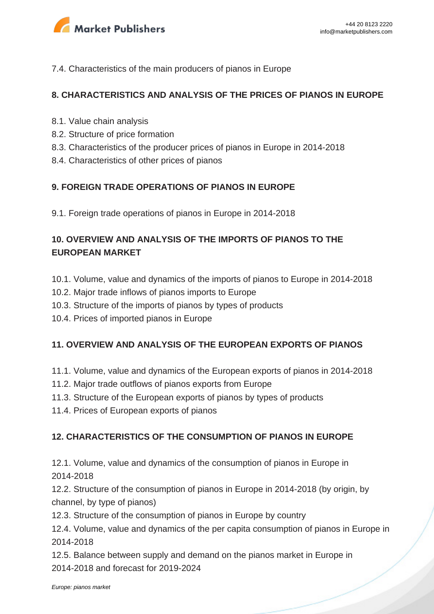

#### 7.4. Characteristics of the main producers of pianos in Europe

### **8. CHARACTERISTICS AND ANALYSIS OF THE PRICES OF PIANOS IN EUROPE**

- 8.1. Value chain analysis
- 8.2. Structure of price formation
- 8.3. Characteristics of the producer prices of pianos in Europe in 2014-2018
- 8.4. Characteristics of other prices of pianos

### **9. FOREIGN TRADE OPERATIONS OF PIANOS IN EUROPE**

9.1. Foreign trade operations of pianos in Europe in 2014-2018

# **10. OVERVIEW AND ANALYSIS OF THE IMPORTS OF PIANOS TO THE EUROPEAN MARKET**

- 10.1. Volume, value and dynamics of the imports of pianos to Europe in 2014-2018
- 10.2. Major trade inflows of pianos imports to Europe
- 10.3. Structure of the imports of pianos by types of products
- 10.4. Prices of imported pianos in Europe

### **11. OVERVIEW AND ANALYSIS OF THE EUROPEAN EXPORTS OF PIANOS**

- 11.1. Volume, value and dynamics of the European exports of pianos in 2014-2018
- 11.2. Major trade outflows of pianos exports from Europe
- 11.3. Structure of the European exports of pianos by types of products
- 11.4. Prices of European exports of pianos

### **12. CHARACTERISTICS OF THE CONSUMPTION OF PIANOS IN EUROPE**

12.1. Volume, value and dynamics of the consumption of pianos in Europe in 2014-2018

12.2. Structure of the consumption of pianos in Europe in 2014-2018 (by origin, by channel, by type of pianos)

12.3. Structure of the consumption of pianos in Europe by country

12.4. Volume, value and dynamics of the per capita consumption of pianos in Europe in 2014-2018

12.5. Balance between supply and demand on the pianos market in Europe in 2014-2018 and forecast for 2019-2024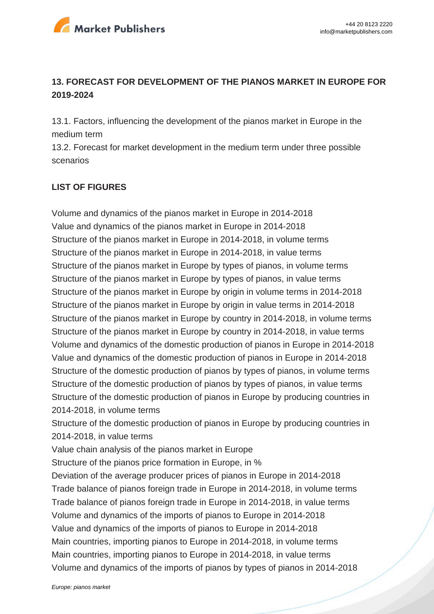

## **13. FORECAST FOR DEVELOPMENT OF THE PIANOS MARKET IN EUROPE FOR 2019-2024**

13.1. Factors, influencing the development of the pianos market in Europe in the medium term

13.2. Forecast for market development in the medium term under three possible scenarios

### **LIST OF FIGURES**

Volume and dynamics of the pianos market in Europe in 2014-2018 Value and dynamics of the pianos market in Europe in 2014-2018 Structure of the pianos market in Europe in 2014-2018, in volume terms Structure of the pianos market in Europe in 2014-2018, in value terms Structure of the pianos market in Europe by types of pianos, in volume terms Structure of the pianos market in Europe by types of pianos, in value terms Structure of the pianos market in Europe by origin in volume terms in 2014-2018 Structure of the pianos market in Europe by origin in value terms in 2014-2018 Structure of the pianos market in Europe by country in 2014-2018, in volume terms Structure of the pianos market in Europe by country in 2014-2018, in value terms Volume and dynamics of the domestic production of pianos in Europe in 2014-2018 Value and dynamics of the domestic production of pianos in Europe in 2014-2018 Structure of the domestic production of pianos by types of pianos, in volume terms Structure of the domestic production of pianos by types of pianos, in value terms Structure of the domestic production of pianos in Europe by producing countries in 2014-2018, in volume terms

Structure of the domestic production of pianos in Europe by producing countries in 2014-2018, in value terms

Value chain analysis of the pianos market in Europe

Structure of the pianos price formation in Europe, in %

Deviation of the average producer prices of pianos in Europe in 2014-2018 Trade balance of pianos foreign trade in Europe in 2014-2018, in volume terms Trade balance of pianos foreign trade in Europe in 2014-2018, in value terms Volume and dynamics of the imports of pianos to Europe in 2014-2018 Value and dynamics of the imports of pianos to Europe in 2014-2018 Main countries, importing pianos to Europe in 2014-2018, in volume terms Main countries, importing pianos to Europe in 2014-2018, in value terms Volume and dynamics of the imports of pianos by types of pianos in 2014-2018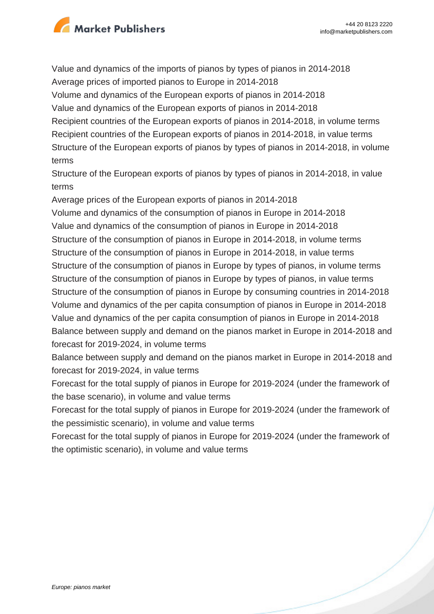

Value and dynamics of the imports of pianos by types of pianos in 2014-2018 Average prices of imported pianos to Europe in 2014-2018 Volume and dynamics of the European exports of pianos in 2014-2018 Value and dynamics of the European exports of pianos in 2014-2018 Recipient countries of the European exports of pianos in 2014-2018, in volume terms Recipient countries of the European exports of pianos in 2014-2018, in value terms Structure of the European exports of pianos by types of pianos in 2014-2018, in volume terms

Structure of the European exports of pianos by types of pianos in 2014-2018, in value terms

Average prices of the European exports of pianos in 2014-2018 Volume and dynamics of the consumption of pianos in Europe in 2014-2018 Value and dynamics of the consumption of pianos in Europe in 2014-2018 Structure of the consumption of pianos in Europe in 2014-2018, in volume terms Structure of the consumption of pianos in Europe in 2014-2018, in value terms Structure of the consumption of pianos in Europe by types of pianos, in volume terms Structure of the consumption of pianos in Europe by types of pianos, in value terms Structure of the consumption of pianos in Europe by consuming countries in 2014-2018 Volume and dynamics of the per capita consumption of pianos in Europe in 2014-2018 Value and dynamics of the per capita consumption of pianos in Europe in 2014-2018 Balance between supply and demand on the pianos market in Europe in 2014-2018 and forecast for 2019-2024, in volume terms

Balance between supply and demand on the pianos market in Europe in 2014-2018 and forecast for 2019-2024, in value terms

Forecast for the total supply of pianos in Europe for 2019-2024 (under the framework of the base scenario), in volume and value terms

Forecast for the total supply of pianos in Europe for 2019-2024 (under the framework of the pessimistic scenario), in volume and value terms

Forecast for the total supply of pianos in Europe for 2019-2024 (under the framework of the optimistic scenario), in volume and value terms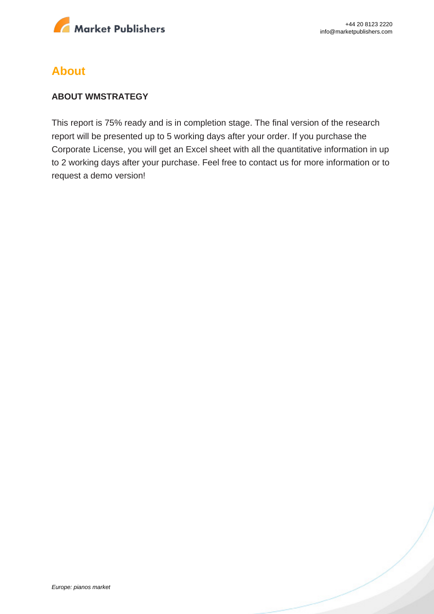

# **About**

#### **ABOUT WMSTRATEGY**

This report is 75% ready and is in completion stage. The final version of the research report will be presented up to 5 working days after your order. If you purchase the Corporate License, you will get an Excel sheet with all the quantitative information in up to 2 working days after your purchase. Feel free to contact us for more information or to request a demo version!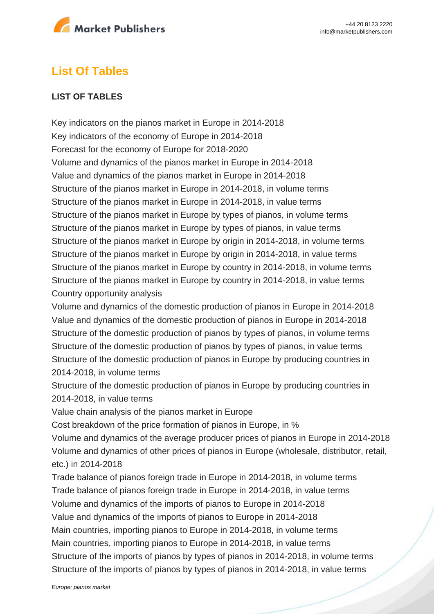

# **List Of Tables**

### **LIST OF TABLES**

Key indicators on the pianos market in Europe in 2014-2018 Key indicators of the economy of Europe in 2014-2018 Forecast for the economy of Europe for 2018-2020 Volume and dynamics of the pianos market in Europe in 2014-2018 Value and dynamics of the pianos market in Europe in 2014-2018 Structure of the pianos market in Europe in 2014-2018, in volume terms Structure of the pianos market in Europe in 2014-2018, in value terms Structure of the pianos market in Europe by types of pianos, in volume terms Structure of the pianos market in Europe by types of pianos, in value terms Structure of the pianos market in Europe by origin in 2014-2018, in volume terms Structure of the pianos market in Europe by origin in 2014-2018, in value terms Structure of the pianos market in Europe by country in 2014-2018, in volume terms Structure of the pianos market in Europe by country in 2014-2018, in value terms Country opportunity analysis

Volume and dynamics of the domestic production of pianos in Europe in 2014-2018 Value and dynamics of the domestic production of pianos in Europe in 2014-2018 Structure of the domestic production of pianos by types of pianos, in volume terms Structure of the domestic production of pianos by types of pianos, in value terms Structure of the domestic production of pianos in Europe by producing countries in 2014-2018, in volume terms

Structure of the domestic production of pianos in Europe by producing countries in 2014-2018, in value terms

Value chain analysis of the pianos market in Europe

Cost breakdown of the price formation of pianos in Europe, in %

Volume and dynamics of the average producer prices of pianos in Europe in 2014-2018 Volume and dynamics of other prices of pianos in Europe (wholesale, distributor, retail, etc.) in 2014-2018

Trade balance of pianos foreign trade in Europe in 2014-2018, in volume terms Trade balance of pianos foreign trade in Europe in 2014-2018, in value terms Volume and dynamics of the imports of pianos to Europe in 2014-2018 Value and dynamics of the imports of pianos to Europe in 2014-2018 Main countries, importing pianos to Europe in 2014-2018, in volume terms Main countries, importing pianos to Europe in 2014-2018, in value terms Structure of the imports of pianos by types of pianos in 2014-2018, in volume terms Structure of the imports of pianos by types of pianos in 2014-2018, in value terms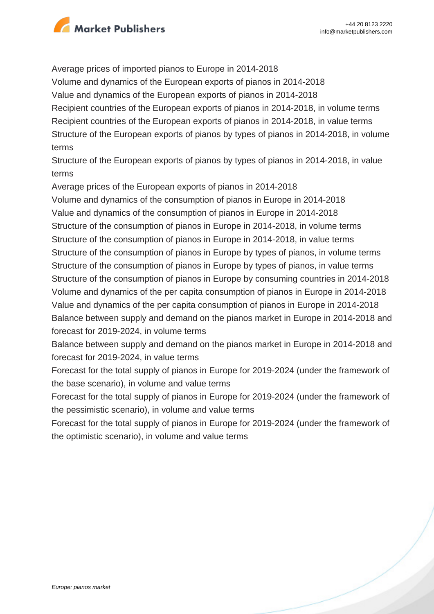

Average prices of imported pianos to Europe in 2014-2018 Volume and dynamics of the European exports of pianos in 2014-2018 Value and dynamics of the European exports of pianos in 2014-2018 Recipient countries of the European exports of pianos in 2014-2018, in volume terms Recipient countries of the European exports of pianos in 2014-2018, in value terms Structure of the European exports of pianos by types of pianos in 2014-2018, in volume terms

Structure of the European exports of pianos by types of pianos in 2014-2018, in value terms

Average prices of the European exports of pianos in 2014-2018 Volume and dynamics of the consumption of pianos in Europe in 2014-2018 Value and dynamics of the consumption of pianos in Europe in 2014-2018 Structure of the consumption of pianos in Europe in 2014-2018, in volume terms Structure of the consumption of pianos in Europe in 2014-2018, in value terms Structure of the consumption of pianos in Europe by types of pianos, in volume terms Structure of the consumption of pianos in Europe by types of pianos, in value terms Structure of the consumption of pianos in Europe by consuming countries in 2014-2018 Volume and dynamics of the per capita consumption of pianos in Europe in 2014-2018 Value and dynamics of the per capita consumption of pianos in Europe in 2014-2018 Balance between supply and demand on the pianos market in Europe in 2014-2018 and

forecast for 2019-2024, in volume terms

Balance between supply and demand on the pianos market in Europe in 2014-2018 and forecast for 2019-2024, in value terms

Forecast for the total supply of pianos in Europe for 2019-2024 (under the framework of the base scenario), in volume and value terms

Forecast for the total supply of pianos in Europe for 2019-2024 (under the framework of the pessimistic scenario), in volume and value terms

Forecast for the total supply of pianos in Europe for 2019-2024 (under the framework of the optimistic scenario), in volume and value terms